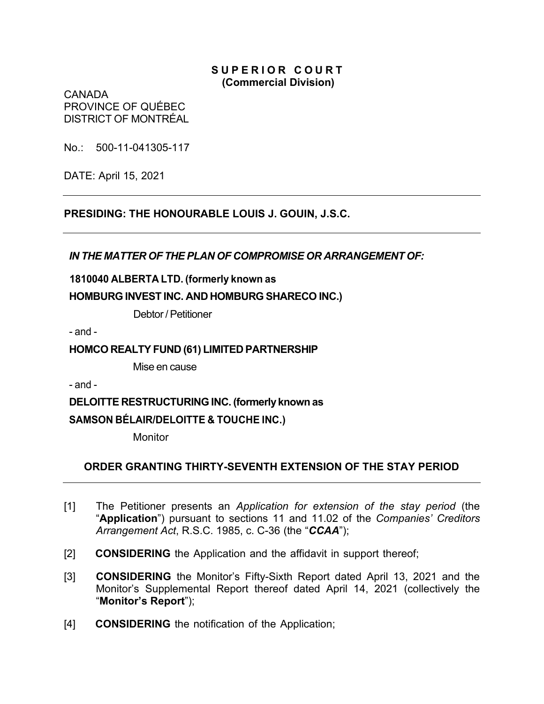### **S U P E R I O R C O U R T (Commercial Division)**

CANADA PROVINCE OF QUÉBEC DISTRICT OF MONTRÉAL

No.: 500-11-041305-117

DATE: April 15, 2021

**PRESIDING: THE HONOURABLE LOUIS J. GOUIN, J.S.C.**

*IN THE MATTER OF THE PLAN OF COMPROMISE OR ARRANGEMENT OF:*

**1810040 ALBERTA LTD. (formerly known as HOMBURG INVEST INC. AND HOMBURG SHARECO INC.)**

Debtor/ Petitioner

- and -

## **HOMCO REALTY FUND (61) LIMITED PARTNERSHIP**

Mise en cause

- and -

**DELOITTE RESTRUCTURING INC. (formerly known as SAMSON BÉLAIR/DELOITTE & TOUCHE INC.)**

**Monitor** 

# **ORDER GRANTING THIRTY-SEVENTH EXTENSION OF THE STAY PERIOD**

- [1] The Petitioner presents an *Application for extension of the stay period* (the "**Application**") pursuant to sections 11 and 11.02 of the *Companies' Creditors Arrangement Act*, R.S.C. 1985, c. C-36 (the "*CCAA*");
- [2] **CONSIDERING** the Application and the affidavit in support thereof;
- [3] **CONSIDERING** the Monitor's Fifty-Sixth Report dated April 13, 2021 and the Monitor's Supplemental Report thereof dated April 14, 2021 (collectively the "**Monitor's Report**");
- [4] **CONSIDERING** the notification of the Application;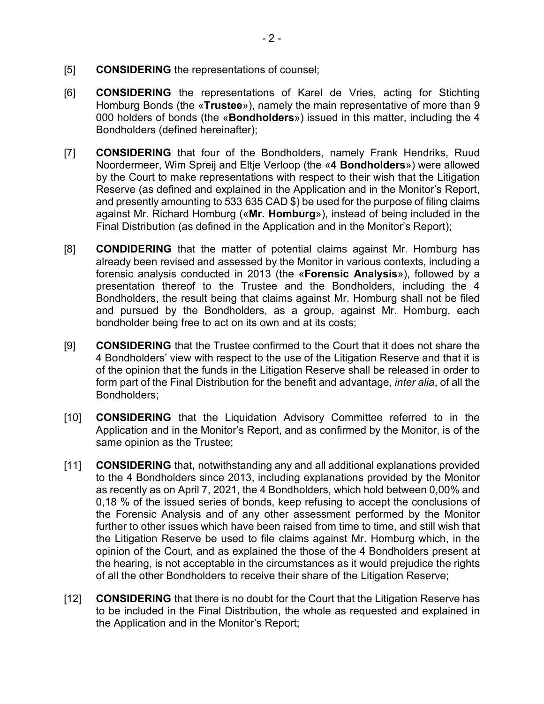- [5] **CONSIDERING** the representations of counsel;
- [6] **CONSIDERING** the representations of Karel de Vries, acting for Stichting Homburg Bonds (the «**Trustee**»), namely the main representative of more than 9 000 holders of bonds (the «**Bondholders**») issued in this matter, including the 4 Bondholders (defined hereinafter);
- [7] **CONSIDERING** that four of the Bondholders, namely Frank Hendriks, Ruud Noordermeer, Wim Spreij and Eltje Verloop (the «**4 Bondholders**») were allowed by the Court to make representations with respect to their wish that the Litigation Reserve (as defined and explained in the Application and in the Monitor's Report, and presently amounting to 533 635 CAD \$) be used for the purpose of filing claims against Mr. Richard Homburg («**Mr. Homburg**»), instead of being included in the Final Distribution (as defined in the Application and in the Monitor's Report);
- [8] **CONDIDERING** that the matter of potential claims against Mr. Homburg has already been revised and assessed by the Monitor in various contexts, including a forensic analysis conducted in 2013 (the «**Forensic Analysis**»), followed by a presentation thereof to the Trustee and the Bondholders, including the 4 Bondholders, the result being that claims against Mr. Homburg shall not be filed and pursued by the Bondholders, as a group, against Mr. Homburg, each bondholder being free to act on its own and at its costs;
- [9] **CONSIDERING** that the Trustee confirmed to the Court that it does not share the 4 Bondholders' view with respect to the use of the Litigation Reserve and that it is of the opinion that the funds in the Litigation Reserve shall be released in order to form part of the Final Distribution for the benefit and advantage, *inter alia*, of all the Bondholders;
- [10] **CONSIDERING** that the Liquidation Advisory Committee referred to in the Application and in the Monitor's Report, and as confirmed by the Monitor, is of the same opinion as the Trustee;
- [11] **CONSIDERING** that**,** notwithstanding any and all additional explanations provided to the 4 Bondholders since 2013, including explanations provided by the Monitor as recently as on April 7, 2021, the 4 Bondholders, which hold between 0,00% and 0,18 % of the issued series of bonds, keep refusing to accept the conclusions of the Forensic Analysis and of any other assessment performed by the Monitor further to other issues which have been raised from time to time, and still wish that the Litigation Reserve be used to file claims against Mr. Homburg which, in the opinion of the Court, and as explained the those of the 4 Bondholders present at the hearing, is not acceptable in the circumstances as it would prejudice the rights of all the other Bondholders to receive their share of the Litigation Reserve;
- [12] **CONSIDERING** that there is no doubt for the Court that the Litigation Reserve has to be included in the Final Distribution, the whole as requested and explained in the Application and in the Monitor's Report;